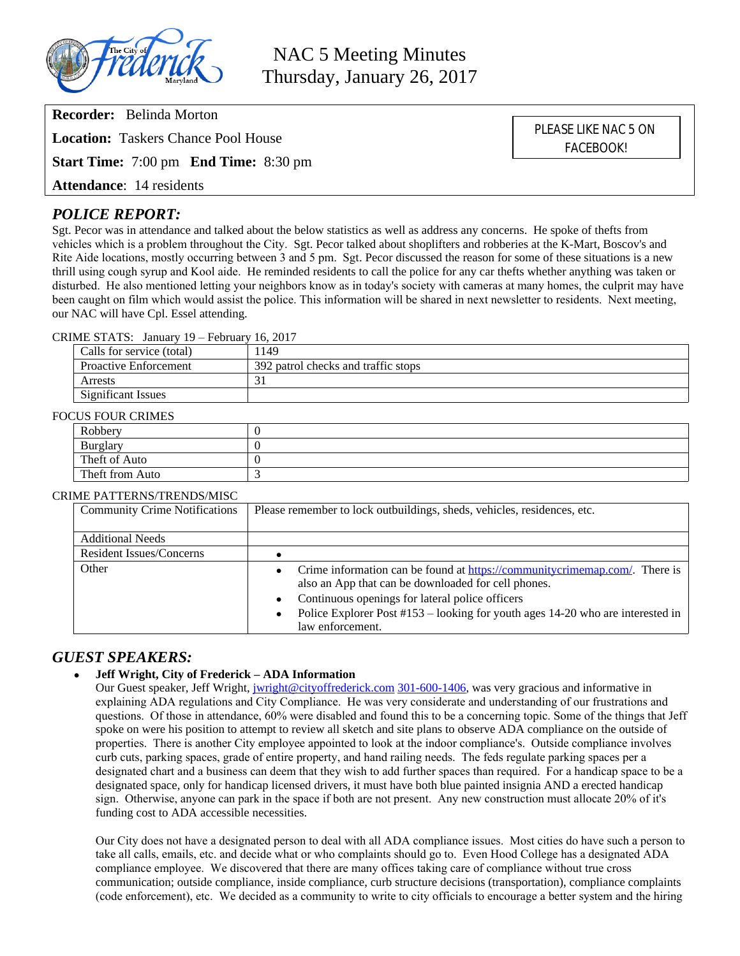

NAC 5 Meeting Minutes Thursday, January 26, 2017

**Recorder:** Belinda Morton

**Location:** Taskers Chance Pool House

**Start Time:** 7:00 pm **End Time:** 8:30 pm

**Attendance**: 14 residents

## *POLICE REPORT:*

Sgt. Pecor was in attendance and talked about the below statistics as well as address any concerns. He spoke of thefts from vehicles which is a problem throughout the City. Sgt. Pecor talked about shoplifters and robberies at the K-Mart, Boscov's and Rite Aide locations, mostly occurring between 3 and 5 pm. Sgt. Pecor discussed the reason for some of these situations is a new thrill using cough syrup and Kool aide. He reminded residents to call the police for any car thefts whether anything was taken or disturbed. He also mentioned letting your neighbors know as in today's society with cameras at many homes, the culprit may have been caught on film which would assist the police. This information will be shared in next newsletter to residents. Next meeting, our NAC will have Cpl. Essel attending.

#### CRIME STATS: January 19 – February 16, 2017

| Calls for service (total)    | 149                                 |
|------------------------------|-------------------------------------|
| <b>Proactive Enforcement</b> | 392 patrol checks and traffic stops |
| Arrests                      |                                     |
| <b>Significant Issues</b>    |                                     |

#### FOCUS FOUR CRIMES

| Robbery         |  |  |
|-----------------|--|--|
| Burglary        |  |  |
| Theft of Auto   |  |  |
| Theft from Auto |  |  |

#### CRIME PATTERNS/TRENDS/MISC

| <b>Community Crime Notifications</b> | Please remember to lock outbuildings, sheds, vehicles, residences, etc.                                                                        |  |  |
|--------------------------------------|------------------------------------------------------------------------------------------------------------------------------------------------|--|--|
| <b>Additional Needs</b>              |                                                                                                                                                |  |  |
| Resident Issues/Concerns             |                                                                                                                                                |  |  |
| Other                                | Crime information can be found at https://communitycrimemap.com/. There is<br>$\bullet$<br>also an App that can be downloaded for cell phones. |  |  |
|                                      | Continuous openings for lateral police officers<br>$\bullet$                                                                                   |  |  |
|                                      | Police Explorer Post #153 – looking for youth ages 14-20 who are interested in<br>law enforcement.                                             |  |  |

### *GUEST SPEAKERS:*

#### **Jeff Wright, City of Frederick – ADA Information**

Our Guest speaker, Jeff Wright, [jwright@cityoffrederick.com](mailto:jwright@cityoffrederick.com) 301-600-1406, was very gracious and informative in explaining ADA regulations and City Compliance. He was very considerate and understanding of our frustrations and questions. Of those in attendance, 60% were disabled and found this to be a concerning topic. Some of the things that Jeff spoke on were his position to attempt to review all sketch and site plans to observe ADA compliance on the outside of properties. There is another City employee appointed to look at the indoor compliance's. Outside compliance involves curb cuts, parking spaces, grade of entire property, and hand railing needs. The feds regulate parking spaces per a designated chart and a business can deem that they wish to add further spaces than required. For a handicap space to be a designated space, only for handicap licensed drivers, it must have both blue painted insignia AND a erected handicap sign. Otherwise, anyone can park in the space if both are not present. Any new construction must allocate 20% of it's funding cost to ADA accessible necessities.

Our City does not have a designated person to deal with all ADA compliance issues. Most cities do have such a person to take all calls, emails, etc. and decide what or who complaints should go to. Even Hood College has a designated ADA compliance employee. We discovered that there are many offices taking care of compliance without true cross communication; outside compliance, inside compliance, curb structure decisions (transportation), compliance complaints (code enforcement), etc. We decided as a community to write to city officials to encourage a better system and the hiring

PLEASE LIKE NAC 5 ON FACEBOOK!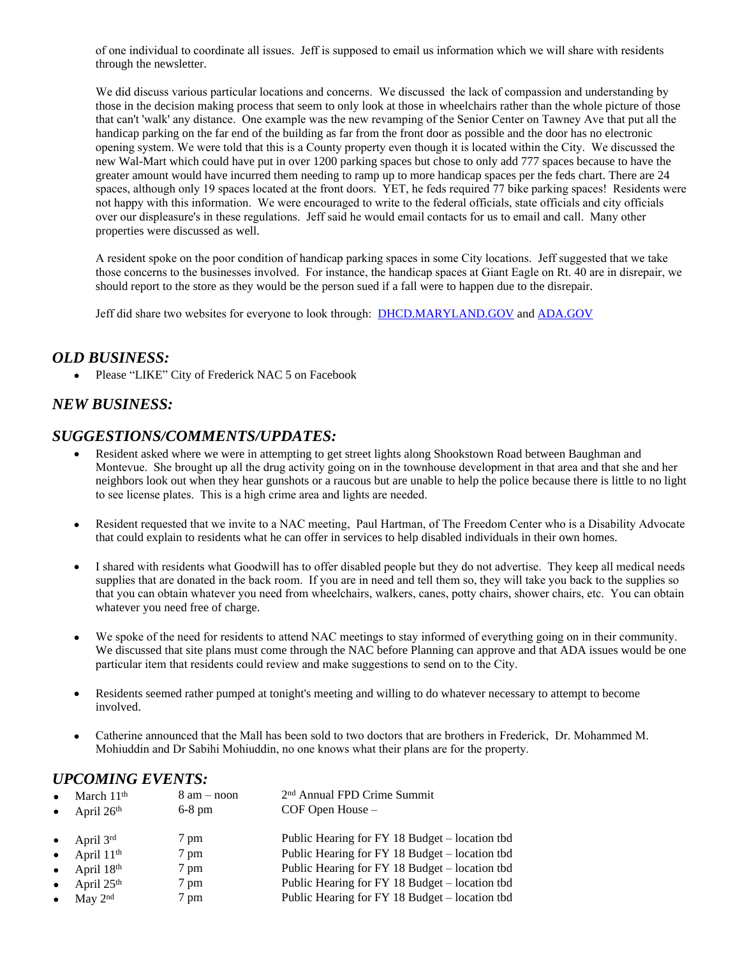of one individual to coordinate all issues. Jeff is supposed to email us information which we will share with residents through the newsletter.

We did discuss various particular locations and concerns. We discussed the lack of compassion and understanding by those in the decision making process that seem to only look at those in wheelchairs rather than the whole picture of those that can't 'walk' any distance. One example was the new revamping of the Senior Center on Tawney Ave that put all the handicap parking on the far end of the building as far from the front door as possible and the door has no electronic opening system. We were told that this is a County property even though it is located within the City. We discussed the new Wal-Mart which could have put in over 1200 parking spaces but chose to only add 777 spaces because to have the greater amount would have incurred them needing to ramp up to more handicap spaces per the feds chart. There are 24 spaces, although only 19 spaces located at the front doors. YET, he feds required 77 bike parking spaces! Residents were not happy with this information. We were encouraged to write to the federal officials, state officials and city officials over our displeasure's in these regulations. Jeff said he would email contacts for us to email and call. Many other properties were discussed as well.

A resident spoke on the poor condition of handicap parking spaces in some City locations. Jeff suggested that we take those concerns to the businesses involved. For instance, the handicap spaces at Giant Eagle on Rt. 40 are in disrepair, we should report to the store as they would be the person sued if a fall were to happen due to the disrepair.

Jeff did share two websites for everyone to look through: [DHCD.MARYLAND.GOV](http://DHCD.MARYLAND.GOV) and [ADA.GOV](http://ADA.GOV)

## *OLD BUSINESS:*

• Please "LIKE" City of Frederick NAC 5 on Facebook

# *NEW BUSINESS:*

#### *SUGGESTIONS/COMMENTS/UPDATES:*

- Resident asked where we were in attempting to get street lights along Shookstown Road between Baughman and Montevue. She brought up all the drug activity going on in the townhouse development in that area and that she and her neighbors look out when they hear gunshots or a raucous but are unable to help the police because there is little to no light to see license plates. This is a high crime area and lights are needed.
- Resident requested that we invite to a NAC meeting, Paul Hartman, of The Freedom Center who is a Disability Advocate that could explain to residents what he can offer in services to help disabled individuals in their own homes.
- I shared with residents what Goodwill has to offer disabled people but they do not advertise. They keep all medical needs supplies that are donated in the back room. If you are in need and tell them so, they will take you back to the supplies so that you can obtain whatever you need from wheelchairs, walkers, canes, potty chairs, shower chairs, etc. You can obtain whatever you need free of charge.
- We spoke of the need for residents to attend NAC meetings to stay informed of everything going on in their community. We discussed that site plans must come through the NAC before Planning can approve and that ADA issues would be one particular item that residents could review and make suggestions to send on to the City.
- Residents seemed rather pumped at tonight's meeting and willing to do whatever necessary to attempt to become involved.
- Catherine announced that the Mall has been sold to two doctors that are brothers in Frederick, Dr. Mohammed M. Mohiuddin and Dr Sabihi Mohiuddin, no one knows what their plans are for the property.

### *UPCOMING EVENTS:*

| $\bullet$ | March $11th$                     | $8 \text{ am} - \text{noon}$ | 2 <sup>nd</sup> Annual FPD Crime Summit        |
|-----------|----------------------------------|------------------------------|------------------------------------------------|
| $\bullet$ | April $26th$                     | $6-8$ pm                     | COF Open House -                               |
|           | • April $3^{\text{rd}}$          | 7 pm                         | Public Hearing for FY 18 Budget – location tbd |
|           | $\bullet$ April 11 <sup>th</sup> | 7 pm                         | Public Hearing for FY 18 Budget – location tbd |
|           | $\bullet$ April 18 <sup>th</sup> | 7 pm                         | Public Hearing for FY 18 Budget – location tbd |
|           | • April $25th$                   | 7 pm                         | Public Hearing for FY 18 Budget – location tbd |
|           | $\bullet$ May 2 <sup>nd</sup>    | 7 pm                         | Public Hearing for FY 18 Budget – location tbd |
|           |                                  |                              |                                                |